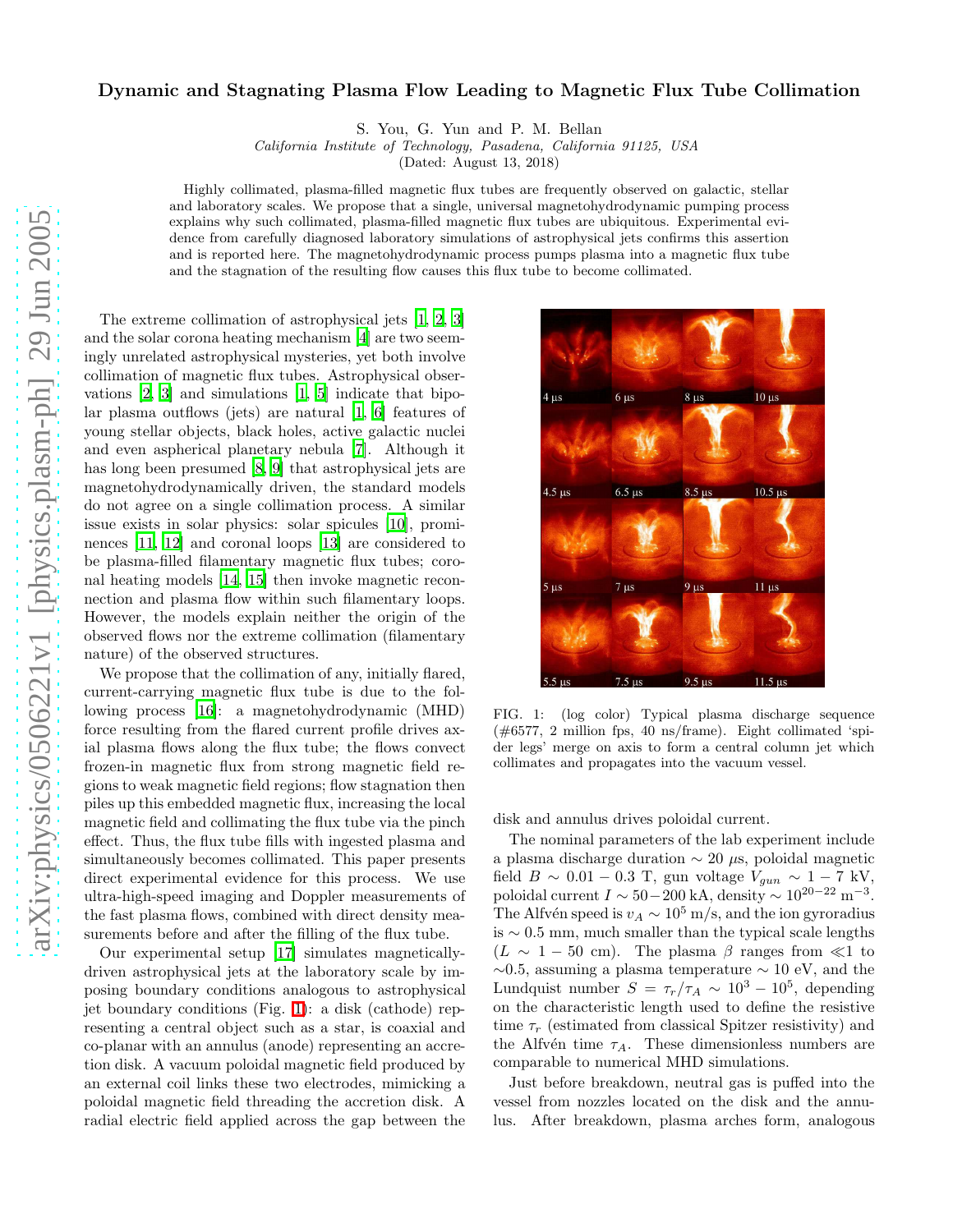## Dynamic and Stagnating Plasma Flow Leading to Magnetic Flux Tube Collimation

S. You, G. Yun and P. M. Bellan

California Institute of Technology, Pasadena, California 91125, USA

(Dated: August 13, 2018)

Highly collimated, plasma-filled magnetic flux tubes are frequently observed on galactic, stellar and laboratory scales. We propose that a single, universal magnetohydrodynamic pumping process explains why such collimated, plasma-filled magnetic flux tubes are ubiquitous. Experimental evidence from carefully diagnosed laboratory simulations of astrophysical jets confirms this assertion and is reported here. The magnetohydrodynamic process pumps plasma into a magnetic flux tube and the stagnation of the resulting flow causes this flux tube to become collimated.

The extreme collimation of astrophysical jets [\[1](#page-3-0), [2,](#page-3-1) [3](#page-3-2)] and the solar corona heating mechanism [\[4\]](#page-3-3) are two seemingly unrelated astrophysical mysteries, yet both involve collimation of magnetic flux tubes. Astrophysical observations [\[2,](#page-3-1) [3\]](#page-3-2) and simulations [\[1,](#page-3-0) [5\]](#page-3-4) indicate that bipolar plasma outflows (jets) are natural [\[1](#page-3-0), [6\]](#page-3-5) features of young stellar objects, black holes, active galactic nuclei and even aspherical planetary nebula [\[7](#page-3-6)]. Although it has long been presumed [\[8](#page-3-7), [9\]](#page-3-8) that astrophysical jets are magnetohydrodynamically driven, the standard models do not agree on a single collimation process. A similar issue exists in solar physics: solar spicules [\[10](#page-3-9)], prominences [\[11,](#page-3-10) [12\]](#page-3-11) and coronal loops [\[13\]](#page-3-12) are considered to be plasma-filled filamentary magnetic flux tubes; coronal heating models [\[14,](#page-3-13) [15\]](#page-3-14) then invoke magnetic reconnection and plasma flow within such filamentary loops. However, the models explain neither the origin of the observed flows nor the extreme collimation (filamentary nature) of the observed structures.

We propose that the collimation of any, initially flared, current-carrying magnetic flux tube is due to the following process [\[16](#page-3-15)]: a magnetohydrodynamic (MHD) force resulting from the flared current profile drives axial plasma flows along the flux tube; the flows convect frozen-in magnetic flux from strong magnetic field regions to weak magnetic field regions; flow stagnation then piles up this embedded magnetic flux, increasing the local magnetic field and collimating the flux tube via the pinch effect. Thus, the flux tube fills with ingested plasma and simultaneously becomes collimated. This paper presents direct experimental evidence for this process. We use ultra-high-speed imaging and Doppler measurements of the fast plasma flows, combined with direct density measurements before and after the filling of the flux tube.

Our experimental setup [\[17\]](#page-3-16) simulates magneticallydriven astrophysical jets at the laboratory scale by imposing boundary conditions analogous to astrophysical jet boundary conditions (Fig. [1\)](#page-0-0): a disk (cathode) representing a central object such as a star, is coaxial and co-planar with an annulus (anode) representing an accretion disk. A vacuum poloidal magnetic field produced by an external coil links these two electrodes, mimicking a poloidal magnetic field threading the accretion disk. A radial electric field applied across the gap between the



<span id="page-0-0"></span>FIG. 1: (log color) Typical plasma discharge sequence  $(\text{\#}6577, 2 \text{ million fps}, 40 \text{ ns/frame})$ . Eight collimated 'spider legs' merge on axis to form a central column jet which collimates and propagates into the vacuum vessel.

disk and annulus drives poloidal current.

The nominal parameters of the lab experiment include a plasma discharge duration ∼ 20 µs, poloidal magnetic field  $B \sim 0.01 - 0.3$  T, gun voltage  $V_{gun} \sim 1 - 7$  kV, poloidal current  $I \sim 50-200$  kA, density  $\sim 10^{20-22}$  m<sup>-3</sup>. The Alfvén speed is  $v_A \sim 10^5$  m/s, and the ion gyroradius is ∼ 0.5 mm, much smaller than the typical scale lengths  $(L \sim 1 - 50$  cm). The plasma  $\beta$  ranges from  $\ll 1$  to  $\sim$ 0.5, assuming a plasma temperature  $\sim$  10 eV, and the Lundquist number  $S = \tau_r/\tau_A \sim 10^3 - 10^5$ , depending on the characteristic length used to define the resistive time  $\tau_r$  (estimated from classical Spitzer resistivity) and the Alfvén time  $\tau_A$ . These dimensionless numbers are comparable to numerical MHD simulations.

Just before breakdown, neutral gas is puffed into the vessel from nozzles located on the disk and the annulus. After breakdown, plasma arches form, analogous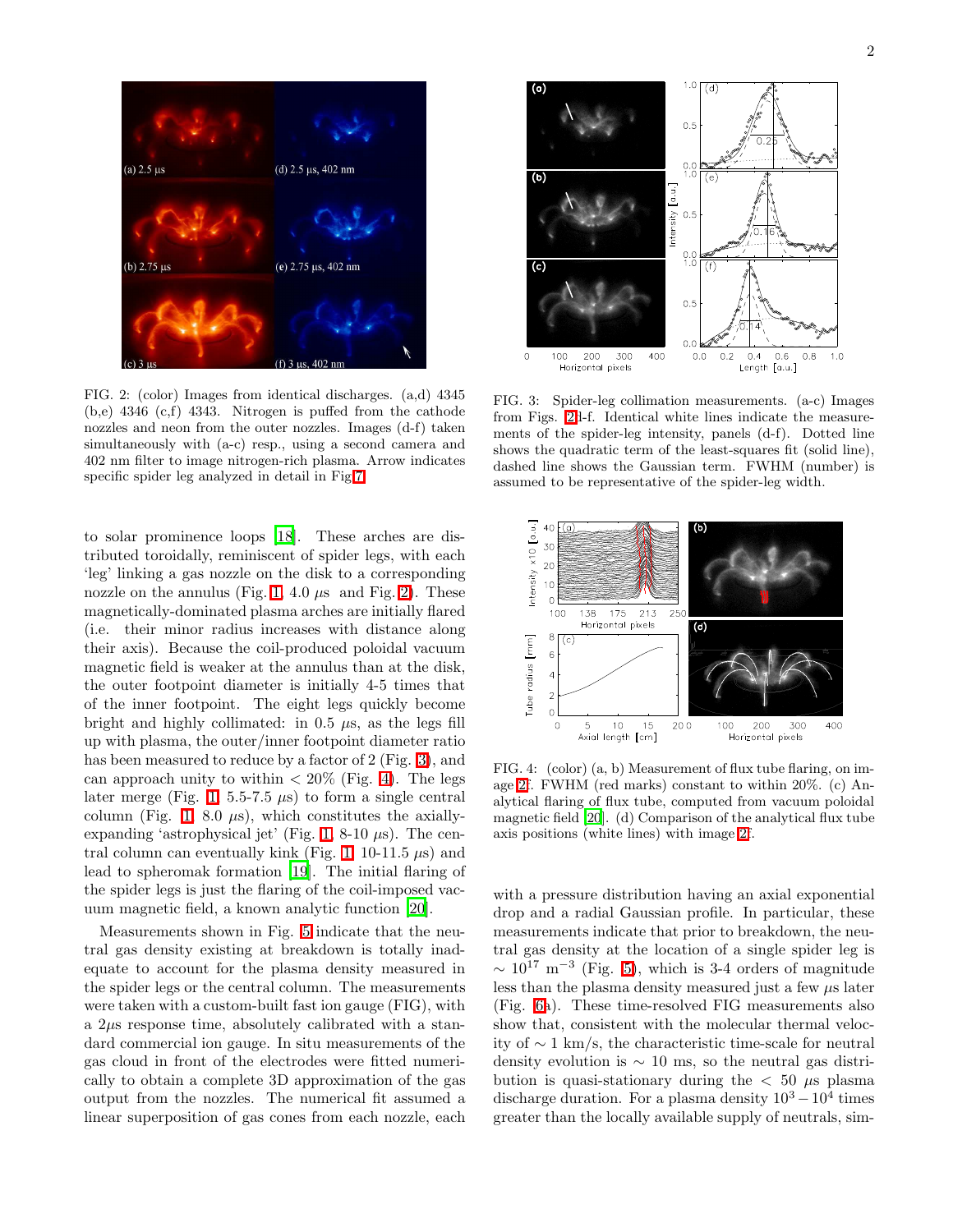

<span id="page-1-0"></span>FIG. 2: (color) Images from identical discharges. (a,d) 4345 (b,e) 4346 (c,f) 4343. Nitrogen is puffed from the cathode nozzles and neon from the outer nozzles. Images (d-f) taken simultaneously with (a-c) resp., using a second camera and 402 nm filter to image nitrogen-rich plasma. Arrow indicates specific spider leg analyzed in detail in Fig[.7.](#page-2-0)

to solar prominence loops [\[18](#page-3-17)]. These arches are distributed toroidally, reminiscent of spider legs, with each 'leg' linking a gas nozzle on the disk to a corresponding nozzle on the annulus (Fig. [1,](#page-0-0) 4.0  $\mu$ s and Fig. [2\)](#page-1-0). These magnetically-dominated plasma arches are initially flared (i.e. their minor radius increases with distance along their axis). Because the coil-produced poloidal vacuum magnetic field is weaker at the annulus than at the disk, the outer footpoint diameter is initially 4-5 times that of the inner footpoint. The eight legs quickly become bright and highly collimated: in  $0.5 \mu s$ , as the legs fill up with plasma, the outer/inner footpoint diameter ratio has been measured to reduce by a factor of 2 (Fig. [3\)](#page-1-1), and can approach unity to within  $\langle 20\%$  (Fig. [4\)](#page-1-2). The legs later merge (Fig. [1,](#page-0-0) 5.5-7.5  $\mu$ s) to form a single central column (Fig. [1,](#page-0-0) 8.0  $\mu$ s), which constitutes the axially-expanding 'astrophysical jet' (Fig. [1,](#page-0-0) 8-10  $\mu$ s). The cen-tral column can eventually kink (Fig. [1,](#page-0-0) 10-11.5  $\mu$ s) and lead to spheromak formation [\[19\]](#page-3-18). The initial flaring of the spider legs is just the flaring of the coil-imposed vacuum magnetic field, a known analytic function [\[20](#page-3-19)].

Measurements shown in Fig. [5](#page-2-1) indicate that the neutral gas density existing at breakdown is totally inadequate to account for the plasma density measured in the spider legs or the central column. The measurements were taken with a custom-built fast ion gauge (FIG), with a  $2\mu s$  response time, absolutely calibrated with a standard commercial ion gauge. In situ measurements of the gas cloud in front of the electrodes were fitted numerically to obtain a complete 3D approximation of the gas output from the nozzles. The numerical fit assumed a linear superposition of gas cones from each nozzle, each



<span id="page-1-1"></span>FIG. 3: Spider-leg collimation measurements. (a-c) Images from Figs. [2d](#page-1-0)-f. Identical white lines indicate the measurements of the spider-leg intensity, panels (d-f). Dotted line shows the quadratic term of the least-squares fit (solid line), dashed line shows the Gaussian term. FWHM (number) is assumed to be representative of the spider-leg width.



<span id="page-1-2"></span>FIG. 4: (color) (a, b) Measurement of flux tube flaring, on image [2f](#page-1-0). FWHM (red marks) constant to within 20%. (c) Analytical flaring of flux tube, computed from vacuum poloidal magnetic field [\[20](#page-3-19)]. (d) Comparison of the analytical flux tube axis positions (white lines) with image [2f](#page-1-0).

with a pressure distribution having an axial exponential drop and a radial Gaussian profile. In particular, these measurements indicate that prior to breakdown, the neutral gas density at the location of a single spider leg is  $\sim 10^{17}$  m<sup>-3</sup> (Fig. [5\)](#page-2-1), which is 3-4 orders of magnitude less than the plasma density measured just a few  $\mu$ s later (Fig. [6a](#page-2-2)). These time-resolved FIG measurements also show that, consistent with the molecular thermal velocity of ∼ 1 km/s, the characteristic time-scale for neutral density evolution is ∼ 10 ms, so the neutral gas distribution is quasi-stationary during the  $< 50 \mu s$  plasma discharge duration. For a plasma density  $10^3 - 10^4$  times greater than the locally available supply of neutrals, sim-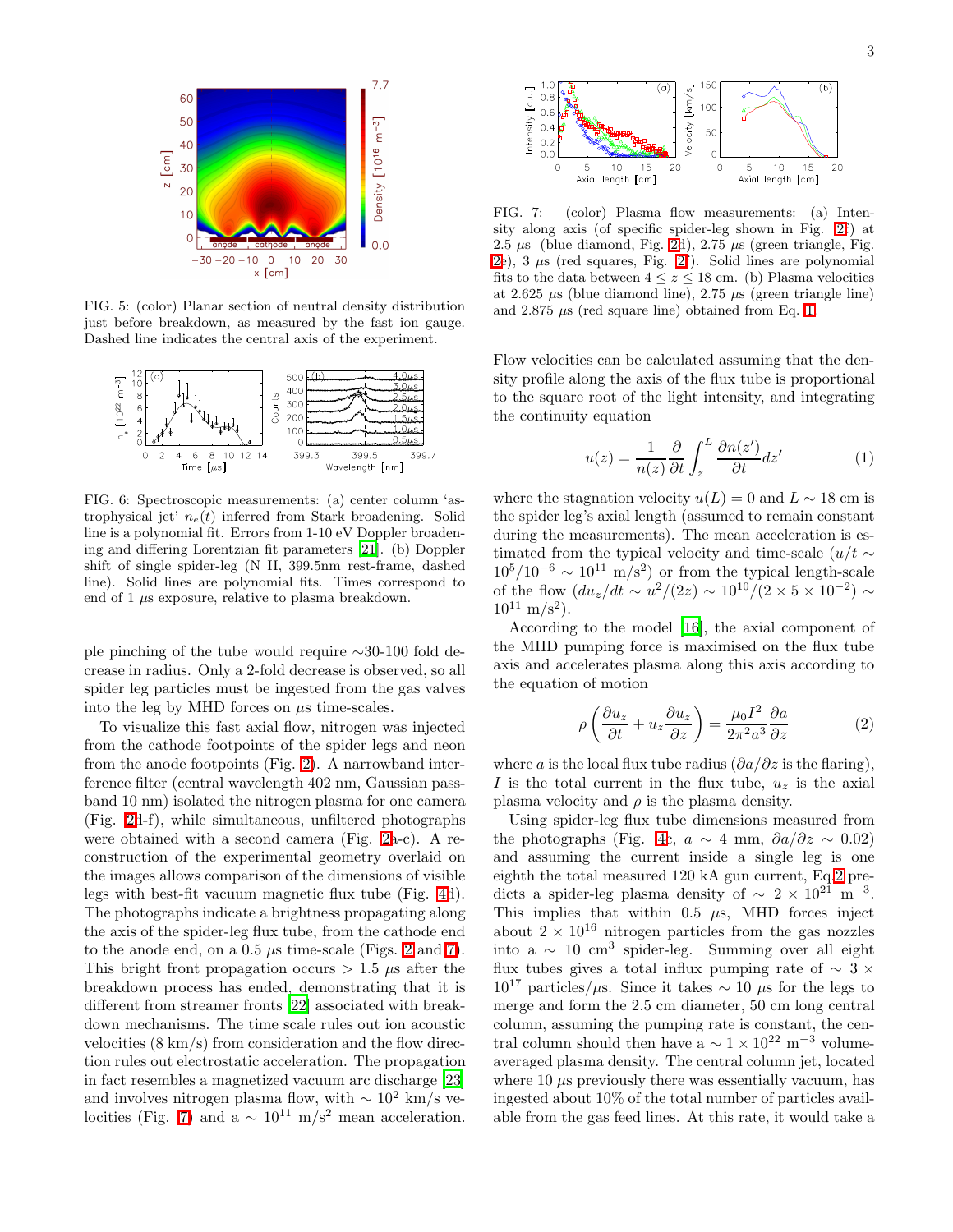

<span id="page-2-1"></span>FIG. 5: (color) Planar section of neutral density distribution just before breakdown, as measured by the fast ion gauge. Dashed line indicates the central axis of the experiment.



<span id="page-2-2"></span>FIG. 6: Spectroscopic measurements: (a) center column 'astrophysical jet'  $n_e(t)$  inferred from Stark broadening. Solid line is a polynomial fit. Errors from 1-10 eV Doppler broadening and differing Lorentzian fit parameters [\[21\]](#page-3-20). (b) Doppler shift of single spider-leg (N II, 399.5nm rest-frame, dashed line). Solid lines are polynomial fits. Times correspond to end of  $1 \mu s$  exposure, relative to plasma breakdown.

ple pinching of the tube would require ∼30-100 fold decrease in radius. Only a 2-fold decrease is observed, so all spider leg particles must be ingested from the gas valves into the leg by MHD forces on  $\mu$ s time-scales.

To visualize this fast axial flow, nitrogen was injected from the cathode footpoints of the spider legs and neon from the anode footpoints (Fig. [2\)](#page-1-0). A narrowband interference filter (central wavelength 402 nm, Gaussian passband 10 nm) isolated the nitrogen plasma for one camera (Fig. [2d](#page-1-0)-f), while simultaneous, unfiltered photographs were obtained with a second camera (Fig. [2a](#page-1-0)-c). A reconstruction of the experimental geometry overlaid on the images allows comparison of the dimensions of visible legs with best-fit vacuum magnetic flux tube (Fig. [4d](#page-1-2)). The photographs indicate a brightness propagating along the axis of the spider-leg flux tube, from the cathode end to the anode end, on a  $0.5 \mu s$  time-scale (Figs. [2](#page-1-0) and [7\)](#page-2-0). This bright front propagation occurs  $> 1.5 \mu s$  after the breakdown process has ended, demonstrating that it is different from streamer fronts [\[22\]](#page-3-21) associated with breakdown mechanisms. The time scale rules out ion acoustic velocities (8 km/s) from consideration and the flow direction rules out electrostatic acceleration. The propagation in fact resembles a magnetized vacuum arc discharge [\[23](#page-3-22)] and involves nitrogen plasma flow, with  $\sim 10^2$  km/s ve-locities (Fig. [7\)](#page-2-0) and a  $\sim 10^{11}$  m/s<sup>2</sup> mean acceleration.



<span id="page-2-0"></span>FIG. 7: (color) Plasma flow measurements: (a) Intensity along axis (of specific spider-leg shown in Fig. [2f](#page-1-0)) at 2.5  $\mu$ s (blue diamond, Fig. [2d](#page-1-0)), 2.75  $\mu$ s (green triangle, Fig. [2e](#page-1-0)),  $3 \mu s$  (red squares, Fig. [2f](#page-1-0)). Solid lines are polynomial fits to the data between  $4 \leq z \leq 18$  cm. (b) Plasma velocities at 2.625  $\mu$ s (blue diamond line), 2.75  $\mu$ s (green triangle line) and 2.875  $\mu$ s (red square line) obtained from Eq. [1.](#page-2-3)

Flow velocities can be calculated assuming that the density profile along the axis of the flux tube is proportional to the square root of the light intensity, and integrating the continuity equation

$$
u(z) = \frac{1}{n(z)} \frac{\partial}{\partial t} \int_{z}^{L} \frac{\partial n(z')}{\partial t} dz'
$$
 (1)

<span id="page-2-3"></span>where the stagnation velocity  $u(L) = 0$  and  $L \sim 18$  cm is the spider leg's axial length (assumed to remain constant during the measurements). The mean acceleration is estimated from the typical velocity and time-scale  $(u/t \sim$  $10^5/10^{-6} \sim 10^{11} \text{ m/s}^2$  or from the typical length-scale of the flow  $(du_z/dt \sim u^2/(2z) \sim 10^{10}/(2 \times 5 \times 10^{-2}) \sim$  $10^{11}$  m/s<sup>2</sup>).

According to the model [\[16\]](#page-3-15), the axial component of the MHD pumping force is maximised on the flux tube axis and accelerates plasma along this axis according to the equation of motion

$$
\rho \left( \frac{\partial u_z}{\partial t} + u_z \frac{\partial u_z}{\partial z} \right) = \frac{\mu_0 I^2}{2\pi^2 a^3} \frac{\partial a}{\partial z} \tag{2}
$$

<span id="page-2-4"></span>where a is the local flux tube radius  $(\partial a/\partial z)$  is the flaring), I is the total current in the flux tube,  $u<sub>z</sub>$  is the axial plasma velocity and  $\rho$  is the plasma density.

Using spider-leg flux tube dimensions measured from the photographs (Fig. [4c](#page-1-2),  $a \sim 4$  mm,  $\partial a/\partial z \sim 0.02$ ) and assuming the current inside a single leg is one eighth the total measured 120 kA gun current, Eq[.2](#page-2-4) predicts a spider-leg plasma density of  $\sim 2 \times 10^{21} \text{ m}^{-3}$ . This implies that within 0.5  $\mu$ s, MHD forces inject about  $2 \times 10^{16}$  nitrogen particles from the gas nozzles into a ∼ 10 cm<sup>3</sup> spider-leg. Summing over all eight flux tubes gives a total influx pumping rate of  $\sim$  3  $\times$  $10^{17}$  particles/µs. Since it takes  $\sim 10 \ \mu s$  for the legs to merge and form the 2.5 cm diameter, 50 cm long central column, assuming the pumping rate is constant, the central column should then have a  $\sim 1 \times 10^{22}$  m<sup>-3</sup> volumeaveraged plasma density. The central column jet, located where  $10 \mu s$  previously there was essentially vacuum, has ingested about 10% of the total number of particles available from the gas feed lines. At this rate, it would take a